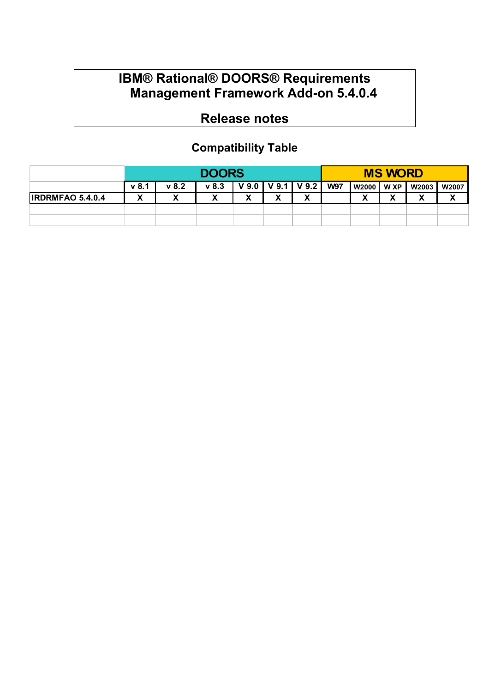## **IBM® Rational® DOORS® Requirements Management Framework Add-on 5.4.0.4**

# **Release notes**

## **Compatibility Table**

|                         | <b>DOORS</b>                    |                        |                            |                                  |                   | <b>MS WORD</b> |            |                  |        |        |              |
|-------------------------|---------------------------------|------------------------|----------------------------|----------------------------------|-------------------|----------------|------------|------------------|--------|--------|--------------|
|                         | $\vee$ 8.1                      | v 8.2                  | $v$ 8.3                    | $V9.0$ $V9.1$ $V9.2$ $\parallel$ |                   |                | <b>W97</b> | W2000 W XP W2003 |        |        | W2007        |
| <b>IRDRMFAO 5.4.0.4</b> | v<br>$\boldsymbol{\mathcal{L}}$ | $\boldsymbol{\Lambda}$ | $\boldsymbol{\mathcal{L}}$ | v<br>Λ                           | $\mathbf{v}$<br>Λ | v<br>Λ         |            | v<br>↗           | v<br>Λ | v<br>↗ | $\mathbf{v}$ |
|                         |                                 |                        |                            |                                  |                   |                |            |                  |        |        |              |
|                         |                                 |                        |                            |                                  |                   |                |            |                  |        |        |              |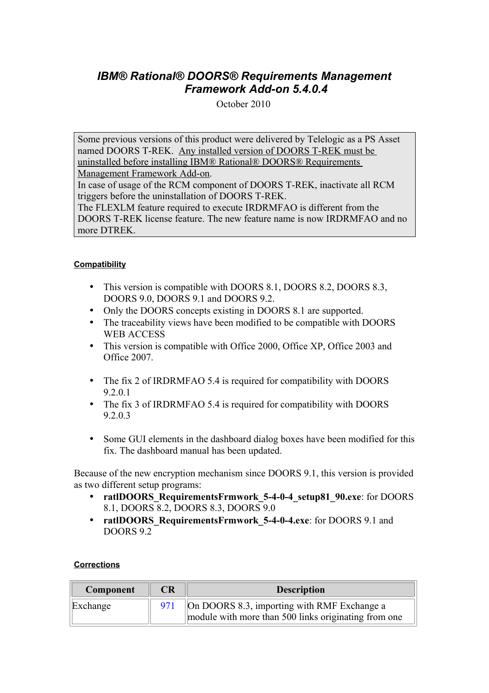### *IBM® Rational® DOORS® Requirements Management Framework Add-on 5.4.0.4*

October 2010

Some previous versions of this product were delivered by Telelogic as a PS Asset named DOORS T-REK. Any installed version of DOORS T-REK must be uninstalled before installing IBM® Rational® DOORS® Requirements

Management Framework Add-on. In case of usage of the RCM component of DOORS T-REK, inactivate all RCM

triggers before the uninstallation of DOORS T-REK.

The FLEXLM feature required to execute IRDRMFAO is different from the DOORS T-REK license feature. The new feature name is now IRDRMFAO and no more DTREK.

### **Compatibility**

- This version is compatible with DOORS 8.1, DOORS 8.2, DOORS 8.3, DOORS 9.0, DOORS 9.1 and DOORS 9.2.
- Only the DOORS concepts existing in DOORS 8.1 are supported.
- The traceability views have been modified to be compatible with DOORS WEB ACCESS
- This version is compatible with Office 2000, Office XP, Office 2003 and Office 2007.
- The fix 2 of IRDRMFAO 5.4 is required for compatibility with DOORS 9.2.0.1
- The fix 3 of IRDRMFAO 5.4 is required for compatibility with DOORS 9.2.0.3
- Some GUI elements in the dashboard dialog boxes have been modified for this fix. The dashboard manual has been updated.

Because of the new encryption mechanism since DOORS 9.1, this version is provided as two different setup programs:

- **ratlDOORS** RequirementsFrmwork 5-4-0-4 setup81 90.exe: for DOORS 8.1, DOORS 8.2, DOORS 8.3, DOORS 9.0
- **ratlDOORS\_RequirementsFrmwork\_5-4-0-4.exe**: for DOORS 9.1 and DOORS 9.2

### **Corrections**

| Component | <b>CR</b> | <b>Description</b>                                                                                  |
|-----------|-----------|-----------------------------------------------------------------------------------------------------|
| Exchange  | 971       | On DOORS 8.3, importing with RMF Exchange a<br>module with more than 500 links originating from one |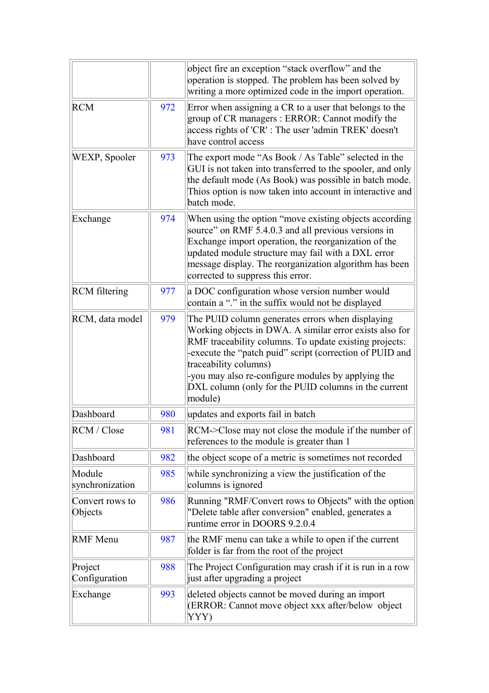|                            |     | object fire an exception "stack overflow" and the<br>operation is stopped. The problem has been solved by<br>writing a more optimized code in the import operation.                                                                                                                                                                                                                |  |
|----------------------------|-----|------------------------------------------------------------------------------------------------------------------------------------------------------------------------------------------------------------------------------------------------------------------------------------------------------------------------------------------------------------------------------------|--|
| <b>RCM</b>                 | 972 | Error when assigning a CR to a user that belongs to the<br>group of CR managers : ERROR: Cannot modify the<br>access rights of 'CR': The user 'admin TREK' doesn't<br>have control access                                                                                                                                                                                          |  |
| WEXP, Spooler              | 973 | The export mode "As Book / As Table" selected in the<br>GUI is not taken into transferred to the spooler, and only<br>the default mode (As Book) was possible in batch mode.<br>Thios option is now taken into account in interactive and<br>batch mode.                                                                                                                           |  |
| Exchange                   | 974 | When using the option "move existing objects according<br>source" on RMF 5.4.0.3 and all previous versions in<br>Exchange import operation, the reorganization of the<br>updated module structure may fail with a DXL error<br>message display. The reorganization algorithm has been<br>corrected to suppress this error.                                                         |  |
| <b>RCM</b> filtering       | 977 | a DOC configuration whose version number would<br>contain a "." in the suffix would not be displayed                                                                                                                                                                                                                                                                               |  |
| RCM, data model            | 979 | The PUID column generates errors when displaying<br>Working objects in DWA. A similar error exists also for<br>RMF traceability columns. To update existing projects:<br>execute the "patch puid" script (correction of PUID and<br>traceability columns)<br>-you may also re-configure modules by applying the<br>DXL column (only for the PUID columns in the current<br>module) |  |
| Dashboard                  | 980 | updates and exports fail in batch                                                                                                                                                                                                                                                                                                                                                  |  |
| RCM / Close                | 981 | RCM->Close may not close the module if the number of<br>references to the module is greater than 1                                                                                                                                                                                                                                                                                 |  |
| Dashboard                  | 982 | the object scope of a metric is sometimes not recorded                                                                                                                                                                                                                                                                                                                             |  |
| Module<br>synchronization  | 985 | while synchronizing a view the justification of the<br>columns is ignored                                                                                                                                                                                                                                                                                                          |  |
| Convert rows to<br>Objects | 986 | Running "RMF/Convert rows to Objects" with the option<br>"Delete table after conversion" enabled, generates a<br>runtime error in DOORS 9.2.0.4                                                                                                                                                                                                                                    |  |
| <b>RMF</b> Menu            | 987 | the RMF menu can take a while to open if the current<br>folder is far from the root of the project                                                                                                                                                                                                                                                                                 |  |
| Project<br>Configuration   | 988 | The Project Configuration may crash if it is run in a row<br>just after upgrading a project                                                                                                                                                                                                                                                                                        |  |
| Exchange                   | 993 | deleted objects cannot be moved during an import<br>(ERROR: Cannot move object xxx after/below object<br>YYY)                                                                                                                                                                                                                                                                      |  |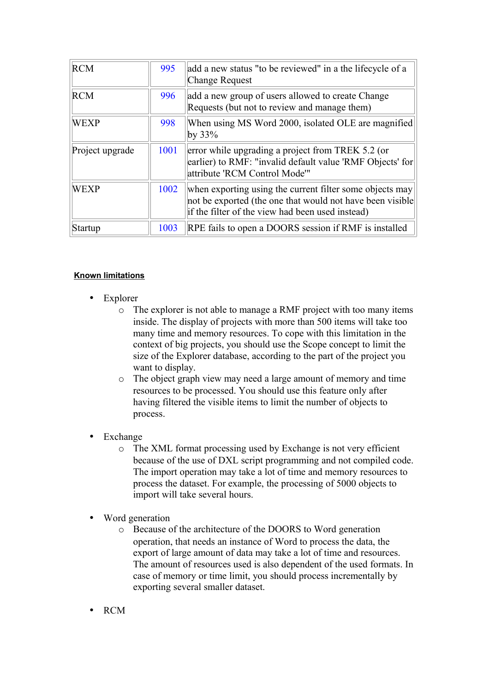| <b>RCM</b>      | 995  | add a new status "to be reviewed" in a the lifecycle of a<br><b>Change Request</b>                                                                                         |
|-----------------|------|----------------------------------------------------------------------------------------------------------------------------------------------------------------------------|
| <b>RCM</b>      | 996  | add a new group of users allowed to create Change<br>Requests (but not to review and manage them)                                                                          |
| <b>WEXP</b>     | 998  | When using MS Word 2000, isolated OLE are magnified<br>by $33\%$                                                                                                           |
| Project upgrade | 1001 | error while upgrading a project from TREK 5.2 (or<br>earlier) to RMF: "invalid default value 'RMF Objects' for<br>attribute 'RCM Control Mode'"                            |
| <b>WEXP</b>     | 1002 | when exporting using the current filter some objects may<br>not be exported (the one that would not have been visible)<br>if the filter of the view had been used instead) |
| Startup         | 1003 | RPE fails to open a DOORS session if RMF is installed                                                                                                                      |

#### **Known limitations**

- **Explorer** 
	- o The explorer is not able to manage a RMF project with too many items inside. The display of projects with more than 500 items will take too many time and memory resources. To cope with this limitation in the context of big projects, you should use the Scope concept to limit the size of the Explorer database, according to the part of the project you want to display.
	- o The object graph view may need a large amount of memory and time resources to be processed. You should use this feature only after having filtered the visible items to limit the number of objects to process.
- **Exchange** 
	- o The XML format processing used by Exchange is not very efficient because of the use of DXL script programming and not compiled code. The import operation may take a lot of time and memory resources to process the dataset. For example, the processing of 5000 objects to import will take several hours.
- Word generation
	- o Because of the architecture of the DOORS to Word generation operation, that needs an instance of Word to process the data, the export of large amount of data may take a lot of time and resources. The amount of resources used is also dependent of the used formats. In case of memory or time limit, you should process incrementally by exporting several smaller dataset.
- RCM